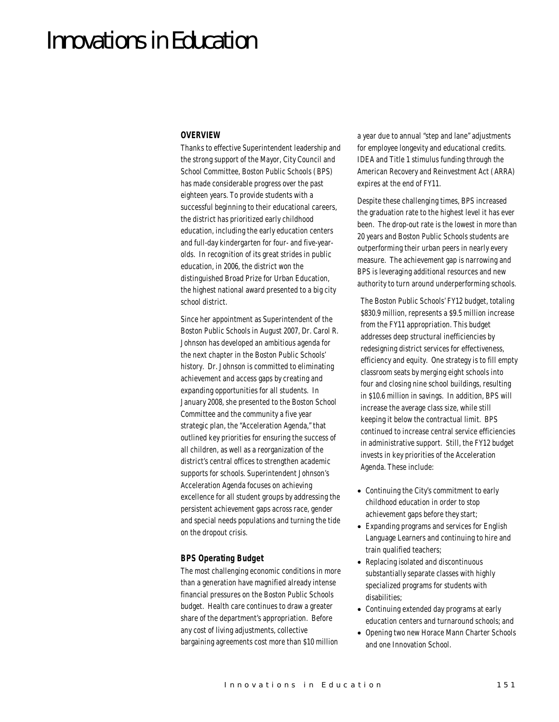# Innovations in Education

## *OVERVIEW*

Thanks to effective Superintendent leadership and the strong support of the Mayor, City Council and School Committee, Boston Public Schools (BPS) has made considerable progress over the past eighteen years. To provide students with a successful beginning to their educational careers, the district has prioritized early childhood education, including the early education centers and full-day kindergarten for four- and five-yearolds. In recognition of its great strides in public education, in 2006, the district won the distinguished Broad Prize for Urban Education, the highest national award presented to a big city school district.

Since her appointment as Superintendent of the Boston Public Schools in August 2007, Dr. Carol R. Johnson has developed an ambitious agenda for the next chapter in the Boston Public Schools' history. Dr. Johnson is committed to eliminating achievement and access gaps by creating and expanding opportunities for all students. In January 2008, she presented to the Boston School Committee and the community a five year strategic plan, the "Acceleration Agenda," that outlined key priorities for ensuring the success of all children, as well as a reorganization of the district's central offices to strengthen academic supports for schools. Superintendent Johnson's Acceleration Agenda focuses on achieving excellence for all student groups by addressing the persistent achievement gaps across race, gender and special needs populations and turning the tide on the dropout crisis.

## *BPS Operating Budget*

The most challenging economic conditions in more than a generation have magnified already intense financial pressures on the Boston Public Schools budget. Health care continues to draw a greater share of the department's appropriation. Before any cost of living adjustments, collective bargaining agreements cost more than \$10 million

a year due to annual "step and lane" adjustments for employee longevity and educational credits. IDEA and Title 1 stimulus funding through the American Recovery and Reinvestment Act (ARRA) expires at the end of FY11.

Despite these challenging times, BPS increased the graduation rate to the highest level it has ever been. The drop-out rate is the lowest in more than 20 years and Boston Public Schools students are outperforming their urban peers in nearly every measure. The achievement gap is narrowing and BPS is leveraging additional resources and new authority to turn around underperforming schools.

The Boston Public Schools' FY12 budget, totaling \$830.9 million, represents a \$9.5 million increase from the FY11 appropriation. This budget addresses deep structural inefficiencies by redesigning district services for effectiveness, efficiency and equity. One strategy is to fill empty classroom seats by merging eight schools into four and closing nine school buildings, resulting in \$10.6 million in savings. In addition, BPS will increase the average class size, while still keeping it below the contractual limit. BPS continued to increase central service efficiencies in administrative support. Still, the FY12 budget invests in key priorities of the Acceleration Agenda. These include:

- Continuing the City's commitment to early childhood education in order to stop achievement gaps before they start;
- Expanding programs and services for English Language Learners and continuing to hire and train qualified teachers;
- Replacing isolated and discontinuous substantially separate classes with highly specialized programs for students with disabilities;
- Continuing extended day programs at early education centers and turnaround schools; and
- Opening two new Horace Mann Charter Schools and one Innovation School.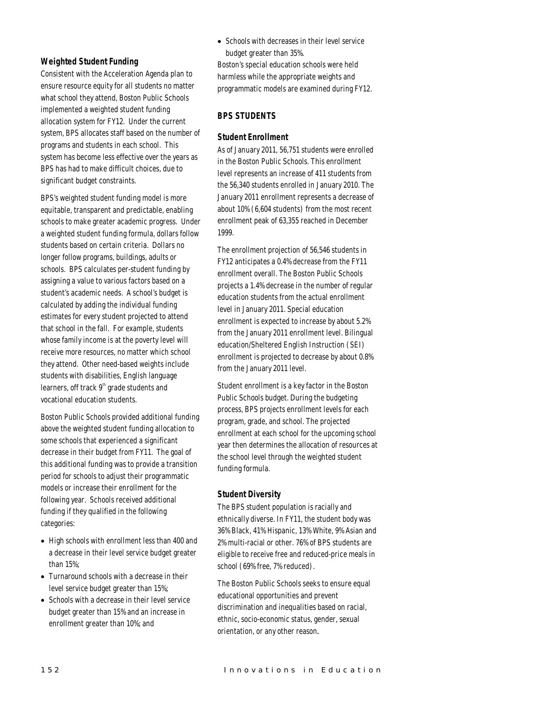## *Weighted Student Funding*

Consistent with the Acceleration Agenda plan to ensure resource equity for all students no matter what school they attend, Boston Public Schools implemented a weighted student funding allocation system for FY12. Under the current system, BPS allocates staff based on the number of programs and students in each school. This system has become less effective over the years as BPS has had to make difficult choices, due to significant budget constraints.

BPS's weighted student funding model is more equitable, transparent and predictable, enabling schools to make greater academic progress. Under a weighted student funding formula, dollars follow students based on certain criteria. Dollars no longer follow programs, buildings, adults or schools. BPS calculates per-student funding by assigning a value to various factors based on a student's academic needs. A school's budget is calculated by adding the individual funding estimates for every student projected to attend that school in the fall. For example, students whose family income is at the poverty level will receive more resources, no matter which school they attend. Other need-based weights include students with disabilities, English language learners, off track  $9<sup>th</sup>$  grade students and vocational education students.

Boston Public Schools provided additional funding above the weighted student funding allocation to some schools that experienced a significant decrease in their budget from FY11. The goal of this additional funding was to provide a transition period for schools to adjust their programmatic models or increase their enrollment for the following year. Schools received additional funding if they qualified in the following categories:

- High schools with enrollment less than 400 and a decrease in their level service budget greater than 15%;
- Turnaround schools with a decrease in their level service budget greater than 15%;
- Schools with a decrease in their level service budget greater than 15% and an increase in enrollment greater than 10%; and

• Schools with decreases in their level service budget greater than 35%.

Boston's special education schools were held harmless while the appropriate weights and programmatic models are examined during FY12.

# *BPS STUDENTS*

## *Student Enrollment*

As of January 2011, 56,751 students were enrolled in the Boston Public Schools. This enrollment level represents an increase of 411 students from the 56,340 students enrolled in January 2010. The January 2011 enrollment represents a decrease of about 10% (6,604 students) from the most recent enrollment peak of 63,355 reached in December 1999.

The enrollment projection of 56,546 students in FY12 anticipates a 0.4% decrease from the FY11 enrollment overall. The Boston Public Schools projects a 1.4% decrease in the number of regular education students from the actual enrollment level in January 2011. Special education enrollment is expected to increase by about 5.2% from the January 2011 enrollment level. Bilingual education/Sheltered English Instruction (SEI) enrollment is projected to decrease by about 0.8% from the January 2011 level.

Student enrollment is a key factor in the Boston Public Schools budget. During the budgeting process, BPS projects enrollment levels for each program, grade, and school. The projected enrollment at each school for the upcoming school year then determines the allocation of resources at the school level through the weighted student funding formula.

## *Student Diversity*

The BPS student population is racially and ethnically diverse. In FY11, the student body was 36% Black, 41% Hispanic, 13% White, 9% Asian and 2% multi-racial or other. 76% of BPS students are eligible to receive free and reduced-price meals in school (69% free, 7% reduced).

The Boston Public Schools seeks to ensure equal educational opportunities and prevent discrimination and inequalities based on racial, ethnic, socio-economic status, gender, sexual orientation, or any other reason.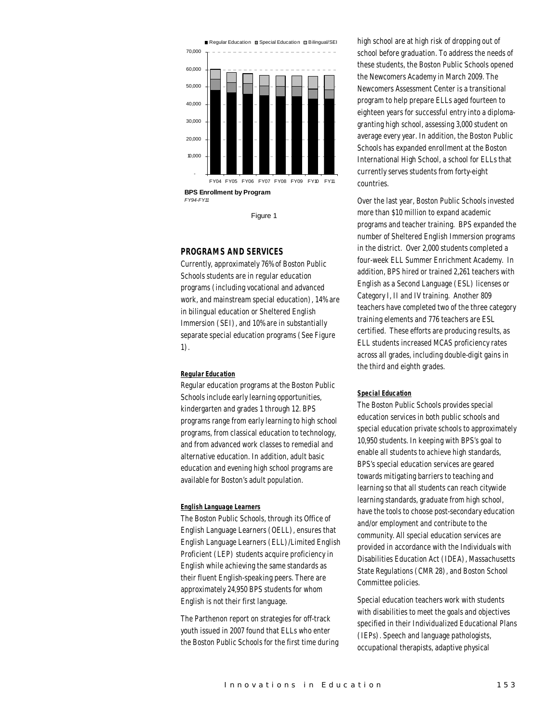

Figure 1

## *PROGRAMS AND SERVICES*

Currently, approximately 76% of Boston Public Schools students are in regular education programs (including vocational and advanced work, and mainstream special education), 14% are in bilingual education or Sheltered English Immersion (SEI), and 10% are in substantially separate special education programs (See Figure 1).

## *Regular Education*

Regular education programs at the Boston Public Schools include early learning opportunities, kindergarten and grades 1 through 12. BPS programs range from early learning to high school programs, from classical education to technology, and from advanced work classes to remedial and alternative education. In addition, adult basic education and evening high school programs are available for Boston's adult population.

#### *English Language Learners*

The Boston Public Schools, through its Office of English Language Learners (OELL), ensures that English Language Learners (ELL)/Limited English Proficient (LEP) students acquire proficiency in English while achieving the same standards as their fluent English-speaking peers. There are approximately 24,950 BPS students for whom English is not their first language.

The Parthenon report on strategies for off-track youth issued in 2007 found that ELLs who enter the Boston Public Schools for the first time during

high school are at high risk of dropping out of school before graduation. To address the needs of these students, the Boston Public Schools opened the Newcomers Academy in March 2009. The Newcomers Assessment Center is a transitional program to help prepare ELLs aged fourteen to eighteen years for successful entry into a diplomagranting high school, assessing 3,000 student on average every year. In addition, the Boston Public Schools has expanded enrollment at the Boston International High School, a school for ELLs that currently serves students from forty-eight countries.

Over the last year, Boston Public Schools invested more than \$10 million to expand academic programs and teacher training. BPS expanded the number of Sheltered English Immersion programs in the district. Over 2,000 students completed a four-week ELL Summer Enrichment Academy. In addition, BPS hired or trained 2,261 teachers with English as a Second Language (ESL) licenses or Category I, II and IV training. Another 809 teachers have completed two of the three category training elements and 776 teachers are ESL certified. These efforts are producing results, as ELL students increased MCAS proficiency rates across all grades, including double-digit gains in the third and eighth grades.

## *Special Education*

The Boston Public Schools provides special education services in both public schools and special education private schools to approximately 10,950 students. In keeping with BPS's goal to enable all students to achieve high standards, BPS's special education services are geared towards mitigating barriers to teaching and learning so that all students can reach citywide learning standards, graduate from high school, have the tools to choose post-secondary education and/or employment and contribute to the community. All special education services are provided in accordance with the Individuals with Disabilities Education Act (IDEA), Massachusetts State Regulations (CMR 28), and Boston School Committee policies.

Special education teachers work with students with disabilities to meet the goals and objectives specified in their Individualized Educational Plans (IEPs). Speech and language pathologists, occupational therapists, adaptive physical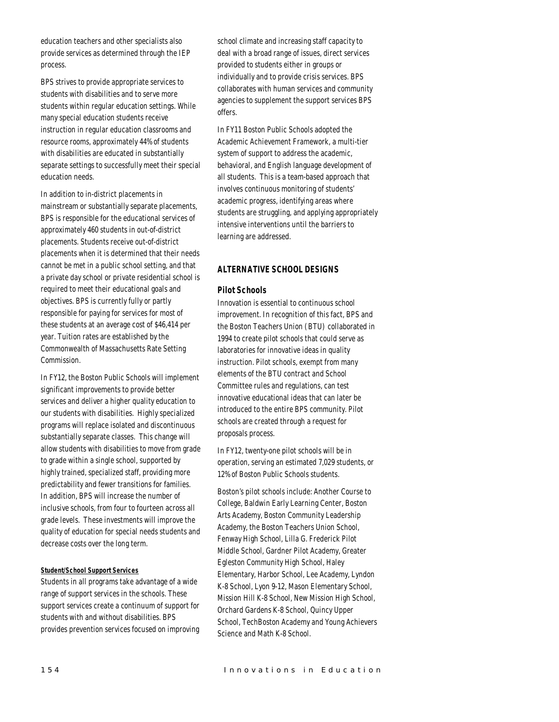education teachers and other specialists also provide services as determined through the IEP process.

BPS strives to provide appropriate services to students with disabilities and to serve more students within regular education settings. While many special education students receive instruction in regular education classrooms and resource rooms, approximately 44% of students with disabilities are educated in substantially separate settings to successfully meet their special education needs.

In addition to in-district placements in mainstream or substantially separate placements, BPS is responsible for the educational services of approximately 460 students in out-of-district placements. Students receive out-of-district placements when it is determined that their needs cannot be met in a public school setting, and that a private day school or private residential school is required to meet their educational goals and objectives. BPS is currently fully or partly responsible for paying for services for most of these students at an average cost of \$46,414 per year. Tuition rates are established by the Commonwealth of Massachusetts Rate Setting Commission.

In FY12, the Boston Public Schools will implement significant improvements to provide better services and deliver a higher quality education to our students with disabilities. Highly specialized programs will replace isolated and discontinuous substantially separate classes. This change will allow students with disabilities to move from grade to grade within a single school, supported by highly trained, specialized staff, providing more predictability and fewer transitions for families. In addition, BPS will increase the number of inclusive schools, from four to fourteen across all grade levels. These investments will improve the quality of education for special needs students and decrease costs over the long term.

#### *Student/School Support Services*

Students in all programs take advantage of a wide range of support services in the schools. These support services create a continuum of support for students with and without disabilities. BPS provides prevention services focused on improving school climate and increasing staff capacity to deal with a broad range of issues, direct services provided to students either in groups or individually and to provide crisis services. BPS collaborates with human services and community agencies to supplement the support services BPS offers.

In FY11 Boston Public Schools adopted the Academic Achievement Framework, a multi-tier system of support to address the academic, behavioral, and English language development of all students. This is a team-based approach that involves continuous monitoring of students' academic progress, identifying areas where students are struggling, and applying appropriately intensive interventions until the barriers to learning are addressed.

## *ALTERNATIVE SCHOOL DESIGNS*

## *Pilot Schools*

Innovation is essential to continuous school improvement. In recognition of this fact, BPS and the Boston Teachers Union (BTU) collaborated in 1994 to create pilot schools that could serve as laboratories for innovative ideas in quality instruction. Pilot schools, exempt from many elements of the BTU contract and School Committee rules and regulations, can test innovative educational ideas that can later be introduced to the entire BPS community. Pilot schools are created through a request for proposals process.

In FY12, twenty-one pilot schools will be in operation, serving an estimated 7,029 students, or 12% of Boston Public Schools students.

Boston's pilot schools include: Another Course to College, Baldwin Early Learning Center, Boston Arts Academy, Boston Community Leadership Academy, the Boston Teachers Union School, Fenway High School, Lilla G. Frederick Pilot Middle School, Gardner Pilot Academy, Greater Egleston Community High School, Haley Elementary, Harbor School, Lee Academy, Lyndon K-8 School, Lyon 9-12, Mason Elementary School, Mission Hill K-8 School, New Mission High School, Orchard Gardens K-8 School, Quincy Upper School, TechBoston Academy and Young Achievers Science and Math K-8 School.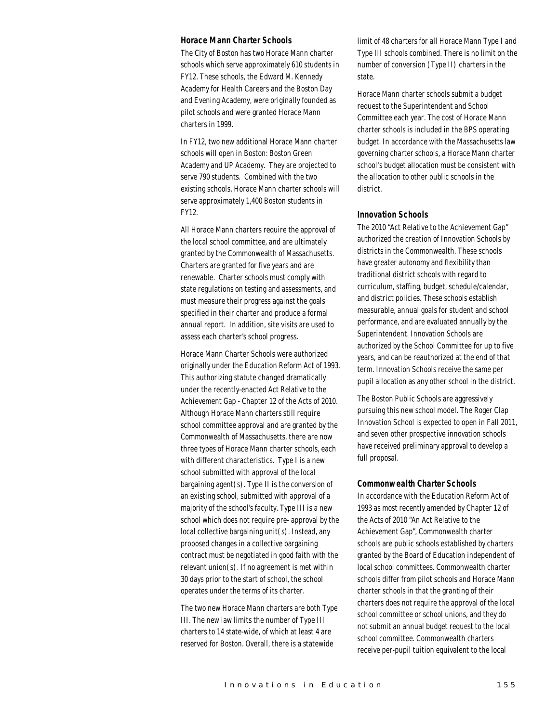#### *Horace Mann Charter Schools*

The City of Boston has two Horace Mann charter schools which serve approximately 610 students in FY12. These schools, the Edward M. Kennedy Academy for Health Careers and the Boston Day and Evening Academy, were originally founded as pilot schools and were granted Horace Mann charters in 1999.

In FY12, two new additional Horace Mann charter schools will open in Boston: Boston Green Academy and UP Academy. They are projected to serve 790 students. Combined with the two existing schools, Horace Mann charter schools will serve approximately 1,400 Boston students in FY12.

All Horace Mann charters require the approval of the local school committee, and are ultimately granted by the Commonwealth of Massachusetts. Charters are granted for five years and are renewable. Charter schools must comply with state regulations on testing and assessments, and must measure their progress against the goals specified in their charter and produce a formal annual report. In addition, site visits are used to assess each charter's school progress.

Horace Mann Charter Schools were authorized originally under the Education Reform Act of 1993. This authorizing statute changed dramatically under the recently-enacted Act Relative to the Achievement Gap - Chapter 12 of the Acts of 2010. Although Horace Mann charters still require school committee approval and are granted by the Commonwealth of Massachusetts, there are now three types of Horace Mann charter schools, each with different characteristics. Type I is a new school submitted with approval of the local bargaining agent(s). Type II is the conversion of an existing school, submitted with approval of a majority of the school's faculty. Type III is a new school which does not require pre- approval by the local collective bargaining unit(s). Instead, any proposed changes in a collective bargaining contract must be negotiated in good faith with the relevant union(s). If no agreement is met within 30 days prior to the start of school, the school operates under the terms of its charter.

The two new Horace Mann charters are both Type III. The new law limits the number of Type III charters to 14 state-wide, of which at least 4 are reserved for Boston. Overall, there is a statewide

limit of 48 charters for all Horace Mann Type I and Type III schools combined. There is no limit on the number of conversion (Type II) charters in the state.

Horace Mann charter schools submit a budget request to the Superintendent and School Committee each year. The cost of Horace Mann charter schools is included in the BPS operating budget. In accordance with the Massachusetts law governing charter schools, a Horace Mann charter school's budget allocation must be consistent with the allocation to other public schools in the district.

## *Innovation Schools*

The 2010 "Act Relative to the Achievement Gap" authorized the creation of Innovation Schools by districts in the Commonwealth. These schools have greater autonomy and flexibility than traditional district schools with regard to curriculum, staffing, budget, schedule/calendar, and district policies. These schools establish measurable, annual goals for student and school performance, and are evaluated annually by the Superintendent. Innovation Schools are authorized by the School Committee for up to five years, and can be reauthorized at the end of that term. Innovation Schools receive the same per pupil allocation as any other school in the district.

The Boston Public Schools are aggressively pursuing this new school model. The Roger Clap Innovation School is expected to open in Fall 2011, and seven other prospective innovation schools have received preliminary approval to develop a full proposal.

#### *Commonwealth Charter Schools*

In accordance with the Education Reform Act of 1993 as most recently amended by Chapter 12 of the Acts of 2010 "An Act Relative to the Achievement Gap", Commonwealth charter schools are public schools established by charters granted by the Board of Education independent of local school committees. Commonwealth charter schools differ from pilot schools and Horace Mann charter schools in that the granting of their charters does not require the approval of the local school committee or school unions, and they do not submit an annual budget request to the local school committee. Commonwealth charters receive per-pupil tuition equivalent to the local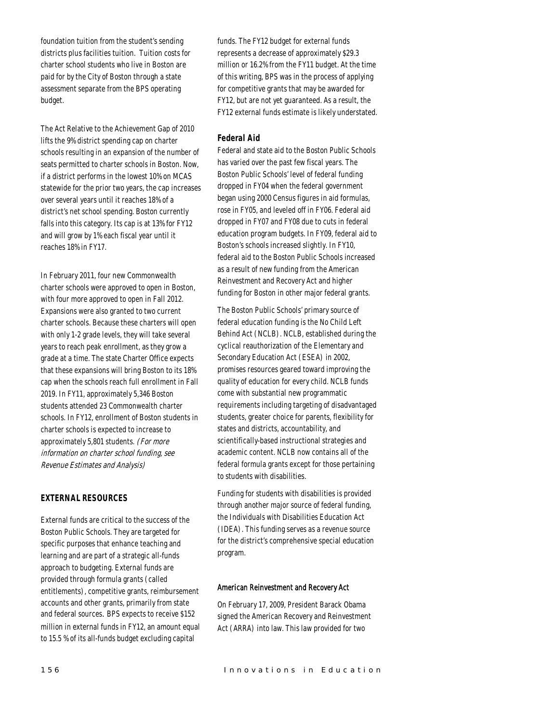foundation tuition from the student's sending districts plus facilities tuition. Tuition costs for charter school students who live in Boston are paid for by the City of Boston through a state assessment separate from the BPS operating budget.

The Act Relative to the Achievement Gap of 2010 lifts the 9% district spending cap on charter schools resulting in an expansion of the number of seats permitted to charter schools in Boston. Now, if a district performs in the lowest 10% on MCAS statewide for the prior two years, the cap increases over several years until it reaches 18% of a district's net school spending. Boston currently falls into this category. Its cap is at 13% for FY12 and will grow by 1% each fiscal year until it reaches 18% in FY17.

In February 2011, four new Commonwealth charter schools were approved to open in Boston, with four more approved to open in Fall 2012. Expansions were also granted to two current charter schools. Because these charters will open with only 1-2 grade levels, they will take several years to reach peak enrollment, as they grow a grade at a time. The state Charter Office expects that these expansions will bring Boston to its 18% cap when the schools reach full enrollment in Fall 2019. In FY11, approximately 5,346 Boston students attended 23 Commonwealth charter schools. In FY12, enrollment of Boston students in charter schools is expected to increase to approximately 5,801 students. (For more information on charter school funding, see Revenue Estimates and Analysis)

## *EXTERNAL RESOURCES*

External funds are critical to the success of the Boston Public Schools. They are targeted for specific purposes that enhance teaching and learning and are part of a strategic all-funds approach to budgeting. External funds are provided through formula grants (called entitlements), competitive grants, reimbursement accounts and other grants, primarily from state and federal sources. BPS expects to receive \$152 million in external funds in FY12, an amount equal to 15.5 % of its all-funds budget excluding capital

funds. The FY12 budget for external funds represents a decrease of approximately \$29.3 million or 16.2% from the FY11 budget. At the time of this writing, BPS was in the process of applying for competitive grants that may be awarded for FY12, but are not yet guaranteed. As a result, the FY12 external funds estimate is likely understated.

# *Federal Aid*

Federal and state aid to the Boston Public Schools has varied over the past few fiscal years. The Boston Public Schools' level of federal funding dropped in FY04 when the federal government began using 2000 Census figures in aid formulas, rose in FY05, and leveled off in FY06. Federal aid dropped in FY07 and FY08 due to cuts in federal education program budgets. In FY09, federal aid to Boston's schools increased slightly. In FY10, federal aid to the Boston Public Schools increased as a result of new funding from the American Reinvestment and Recovery Act and higher funding for Boston in other major federal grants.

The Boston Public Schools' primary source of federal education funding is the No Child Left Behind Act (NCLB). NCLB, established during the cyclical reauthorization of the Elementary and Secondary Education Act (ESEA) in 2002, promises resources geared toward improving the quality of education for every child. NCLB funds come with substantial new programmatic requirements including targeting of disadvantaged students, greater choice for parents, flexibility for states and districts, accountability, and scientifically-based instructional strategies and academic content. NCLB now contains all of the federal formula grants except for those pertaining to students with disabilities.

Funding for students with disabilities is provided through another major source of federal funding, the Individuals with Disabilities Education Act (IDEA). This funding serves as a revenue source for the district's comprehensive special education program.

## American Reinvestment and Recovery Act

On February 17, 2009, President Barack Obama signed the American Recovery and Reinvestment Act (ARRA) into law. This law provided for two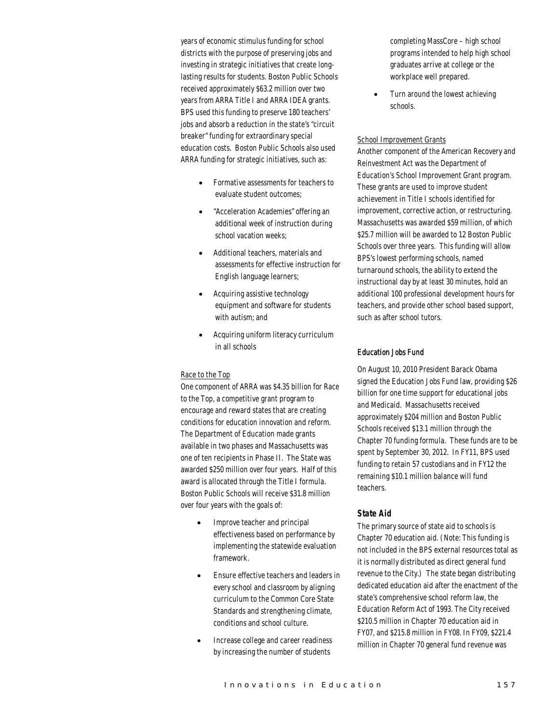years of economic stimulus funding for school districts with the purpose of preserving jobs and investing in strategic initiatives that create longlasting results for students. Boston Public Schools received approximately \$63.2 million over two years from ARRA Title I and ARRA IDEA grants. BPS used this funding to preserve 180 teachers' jobs and absorb a reduction in the state's "circuit breaker" funding for extraordinary special education costs. Boston Public Schools also used ARRA funding for strategic initiatives, such as:

- Formative assessments for teachers to evaluate student outcomes;
- "Acceleration Academies" offering an additional week of instruction during school vacation weeks;
- Additional teachers, materials and assessments for effective instruction for English language learners;
- Acquiring assistive technology equipment and software for students with autism; and
- Acquiring uniform literacy curriculum in all schools

## Race to the Top

One component of ARRA was \$4.35 billion for Race to the Top, a competitive grant program to encourage and reward states that are creating conditions for education innovation and reform. The Department of Education made grants available in two phases and Massachusetts was one of ten recipients in Phase II. The State was awarded \$250 million over four years. Half of this award is allocated through the Title I formula. Boston Public Schools will receive \$31.8 million over four years with the goals of:

- Improve teacher and principal effectiveness based on performance by implementing the statewide evaluation framework.
- Ensure effective teachers and leaders in every school and classroom by aligning curriculum to the Common Core State Standards and strengthening climate, conditions and school culture.
- Increase college and career readiness by increasing the number of students

completing MassCore – high school programs intended to help high school graduates arrive at college or the workplace well prepared.

• Turn around the lowest achieving schools.

#### School Improvement Grants

Another component of the American Recovery and Reinvestment Act was the Department of Education's School Improvement Grant program. These grants are used to improve student achievement in Title I schools identified for improvement, corrective action, or restructuring. Massachusetts was awarded \$59 million, of which \$25.7 million will be awarded to 12 Boston Public Schools over three years. This funding will allow BPS's lowest performing schools, named turnaround schools, the ability to extend the instructional day by at least 30 minutes, hold an additional 100 professional development hours for teachers, and provide other school based support, such as after school tutors.

## Education Jobs Fund

On August 10, 2010 President Barack Obama signed the Education Jobs Fund law, providing \$26 billion for one time support for educational jobs and Medicaid. Massachusetts received approximately \$204 million and Boston Public Schools received \$13.1 million through the Chapter 70 funding formula. These funds are to be spent by September 30, 2012. In FY11, BPS used funding to retain 57 custodians and in FY12 the remaining \$10.1 million balance will fund teachers.

## *State Aid*

The primary source of state aid to schools is Chapter 70 education aid. (Note: This funding is not included in the BPS external resources total as it is normally distributed as direct general fund revenue to the City.) The state began distributing dedicated education aid after the enactment of the state's comprehensive school reform law, the Education Reform Act of 1993. The City received \$210.5 million in Chapter 70 education aid in FY07, and \$215.8 million in FY08. In FY09, \$221.4 million in Chapter 70 general fund revenue was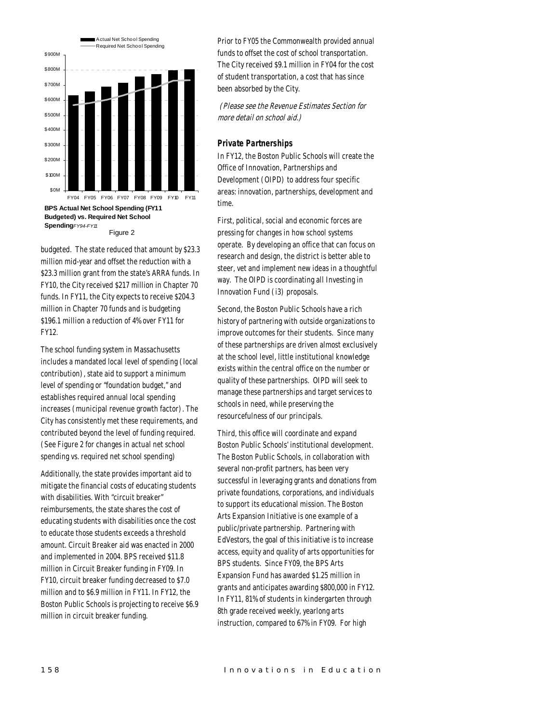

budgeted. The state reduced that amount by \$23.3 million mid-year and offset the reduction with a \$23.3 million grant from the state's ARRA funds. In FY10, the City received \$217 million in Chapter 70 funds. In FY11, the City expects to receive \$204.3 million in Chapter 70 funds and is budgeting \$196.1 million a reduction of 4% over FY11 for FY12.

The school funding system in Massachusetts includes a mandated local level of spending (local contribution), state aid to support a minimum level of spending or "foundation budget," and establishes required annual local spending increases (municipal revenue growth factor). The City has consistently met these requirements, and contributed beyond the level of funding required. (See Figure 2 for changes in actual net school spending vs. required net school spending)

Additionally, the state provides important aid to mitigate the financial costs of educating students with disabilities. With "circuit breaker" reimbursements, the state shares the cost of educating students with disabilities once the cost to educate those students exceeds a threshold amount. Circuit Breaker aid was enacted in 2000 and implemented in 2004. BPS received \$11.8 million in Circuit Breaker funding in FY09. In FY10, circuit breaker funding decreased to \$7.0 million and to \$6.9 million in FY11. In FY12, the Boston Public Schools is projecting to receive \$6.9 million in circuit breaker funding.

Prior to FY05 the Commonwealth provided annual funds to offset the cost of school transportation. The City received \$9.1 million in FY04 for the cost of student transportation, a cost that has since been absorbed by the City.

(Please see the Revenue Estimates Section for more detail on school aid.)

#### *Private Partnerships*

In FY12, the Boston Public Schools will create the Office of Innovation, Partnerships and Development (OIPD) to address four specific areas: innovation, partnerships, development and time.

First, political, social and economic forces are pressing for changes in how school systems operate. By developing an office that can focus on research and design, the district is better able to steer, vet and implement new ideas in a thoughtful way. The OIPD is coordinating all Investing in Innovation Fund (i3) proposals.

Second, the Boston Public Schools have a rich history of partnering with outside organizations to improve outcomes for their students. Since many of these partnerships are driven almost exclusively at the school level, little institutional knowledge exists within the central office on the number or quality of these partnerships. OIPD will seek to manage these partnerships and target services to schools in need, while preserving the resourcefulness of our principals.

Third, this office will coordinate and expand Boston Public Schools' institutional development. The Boston Public Schools, in collaboration with several non-profit partners, has been very successful in leveraging grants and donations from private foundations, corporations, and individuals to support its educational mission. The Boston Arts Expansion Initiative is one example of a public/private partnership. Partnering with EdVestors, the goal of this initiative is to increase access, equity and quality of arts opportunities for BPS students. Since FY09, the BPS Arts Expansion Fund has awarded \$1.25 million in grants and anticipates awarding \$800,000 in FY12. In FY11, 81% of students in kindergarten through 8th grade received weekly, yearlong arts instruction, compared to 67% in FY09. For high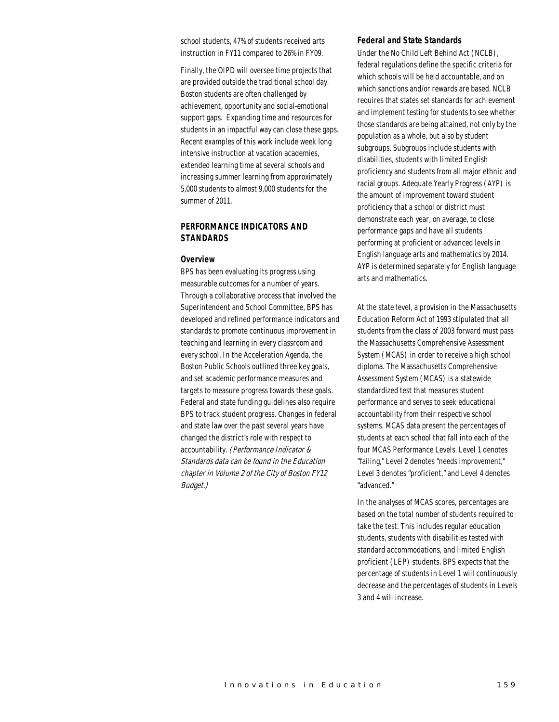school students, 47% of students received arts instruction in FY11 compared to 26% in FY09.

Finally, the OIPD will oversee time projects that are provided outside the traditional school day. Boston students are often challenged by achievement, opportunity and social-emotional support gaps. Expanding time and resources for students in an impactful way can close these gaps. Recent examples of this work include week long intensive instruction at vacation academies, extended learning time at several schools and increasing summer learning from approximately 5,000 students to almost 9,000 students for the summer of 2011.

# *PERFORMANCE INDICATORS AND STANDARDS*

#### *Overview*

BPS has been evaluating its progress using measurable outcomes for a number of years. Through a collaborative process that involved the Superintendent and School Committee, BPS has developed and refined performance indicators and standards to promote continuous improvement in teaching and learning in every classroom and every school. In the Acceleration Agenda, the Boston Public Schools outlined three key goals, and set academic performance measures and targets to measure progress towards these goals. Federal and state funding guidelines also require BPS to track student progress. Changes in federal and state law over the past several years have changed the district's role with respect to accountability. (Performance Indicator & Standards data can be found in the Education chapter in Volume 2 of the City of Boston FY12 Budget.)

#### *Federal and State Standards*

Under the No Child Left Behind Act (NCLB), federal regulations define the specific criteria for which schools will be held accountable, and on which sanctions and/or rewards are based. NCLB requires that states set standards for achievement and implement testing for students to see whether those standards are being attained, not only by the population as a whole, but also by student subgroups. Subgroups include students with disabilities, students with limited English proficiency and students from all major ethnic and racial groups. Adequate Yearly Progress (AYP) is the amount of improvement toward student proficiency that a school or district must demonstrate each year, on average, to close performance gaps and have all students performing at proficient or advanced levels in English language arts and mathematics by 2014. AYP is determined separately for English language arts and mathematics.

At the state level, a provision in the Massachusetts Education Reform Act of 1993 stipulated that all students from the class of 2003 forward must pass the Massachusetts Comprehensive Assessment System (MCAS) in order to receive a high school diploma. The Massachusetts Comprehensive Assessment System (MCAS) is a statewide standardized test that measures student performance and serves to seek educational accountability from their respective school systems. MCAS data present the percentages of students at each school that fall into each of the four MCAS Performance Levels. Level 1 denotes "failing," Level 2 denotes "needs improvement," Level 3 denotes "proficient," and Level 4 denotes "advanced."

In the analyses of MCAS scores, percentages are based on the total number of students required to take the test. This includes regular education students, students with disabilities tested with standard accommodations, and limited English proficient (LEP) students. BPS expects that the percentage of students in Level 1 will continuously decrease and the percentages of students in Levels 3 and 4 will increase.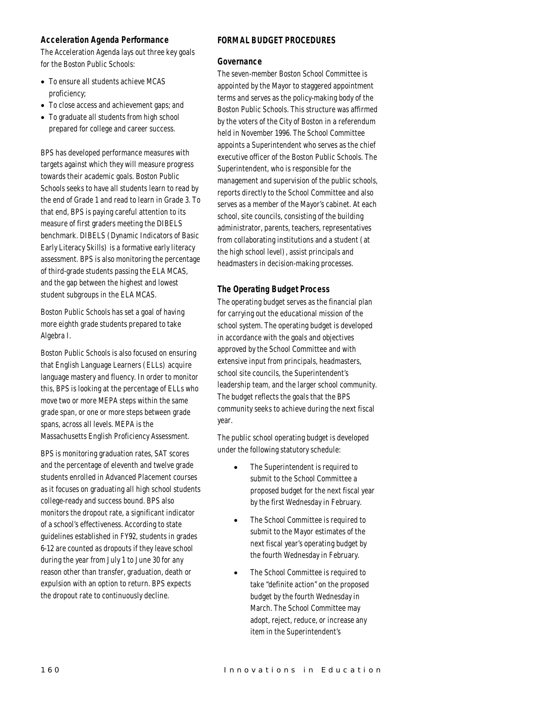# *Acceleration Agenda Performance*

The Acceleration Agenda lays out three key goals for the Boston Public Schools:

- To ensure all students achieve MCAS proficiency;
- To close access and achievement gaps; and
- To graduate all students from high school prepared for college and career success.

BPS has developed performance measures with targets against which they will measure progress towards their academic goals. Boston Public Schools seeks to have all students learn to read by the end of Grade 1 and read to learn in Grade 3. To that end, BPS is paying careful attention to its measure of first graders meeting the DIBELS benchmark. DIBELS (Dynamic Indicators of Basic Early Literacy Skills) is a formative early literacy assessment. BPS is also monitoring the percentage of third-grade students passing the ELA MCAS, and the gap between the highest and lowest student subgroups in the ELA MCAS.

Boston Public Schools has set a goal of having more eighth grade students prepared to take Algebra I.

Boston Public Schools is also focused on ensuring that English Language Learners (ELLs) acquire language mastery and fluency. In order to monitor this, BPS is looking at the percentage of ELLs who move two or more MEPA steps within the same grade span, or one or more steps between grade spans, across all levels. MEPA is the Massachusetts English Proficiency Assessment.

BPS is monitoring graduation rates, SAT scores and the percentage of eleventh and twelve grade students enrolled in Advanced Placement courses as it focuses on graduating all high school students college-ready and success bound. BPS also monitors the dropout rate, a significant indicator of a school's effectiveness. According to state guidelines established in FY92, students in grades 6-12 are counted as dropouts if they leave school during the year from July 1 to June 30 for any reason other than transfer, graduation, death or expulsion with an option to return. BPS expects the dropout rate to continuously decline.

# *FORMAL BUDGET PROCEDURES*

## *Governance*

The seven-member Boston School Committee is appointed by the Mayor to staggered appointment terms and serves as the policy-making body of the Boston Public Schools. This structure was affirmed by the voters of the City of Boston in a referendum held in November 1996. The School Committee appoints a Superintendent who serves as the chief executive officer of the Boston Public Schools. The Superintendent, who is responsible for the management and supervision of the public schools, reports directly to the School Committee and also serves as a member of the Mayor's cabinet. At each school, site councils, consisting of the building administrator, parents, teachers, representatives from collaborating institutions and a student (at the high school level), assist principals and headmasters in decision-making processes.

# *The Operating Budget Process*

The operating budget serves as the financial plan for carrying out the educational mission of the school system. The operating budget is developed in accordance with the goals and objectives approved by the School Committee and with extensive input from principals, headmasters, school site councils, the Superintendent's leadership team, and the larger school community. The budget reflects the goals that the BPS community seeks to achieve during the next fiscal year.

The public school operating budget is developed under the following statutory schedule:

- The Superintendent is required to submit to the School Committee a proposed budget for the next fiscal year by the first Wednesday in February.
- The School Committee is required to submit to the Mayor estimates of the next fiscal year's operating budget by the fourth Wednesday in February.
- The School Committee is required to take "definite action" on the proposed budget by the fourth Wednesday in March. The School Committee may adopt, reject, reduce, or increase any item in the Superintendent's